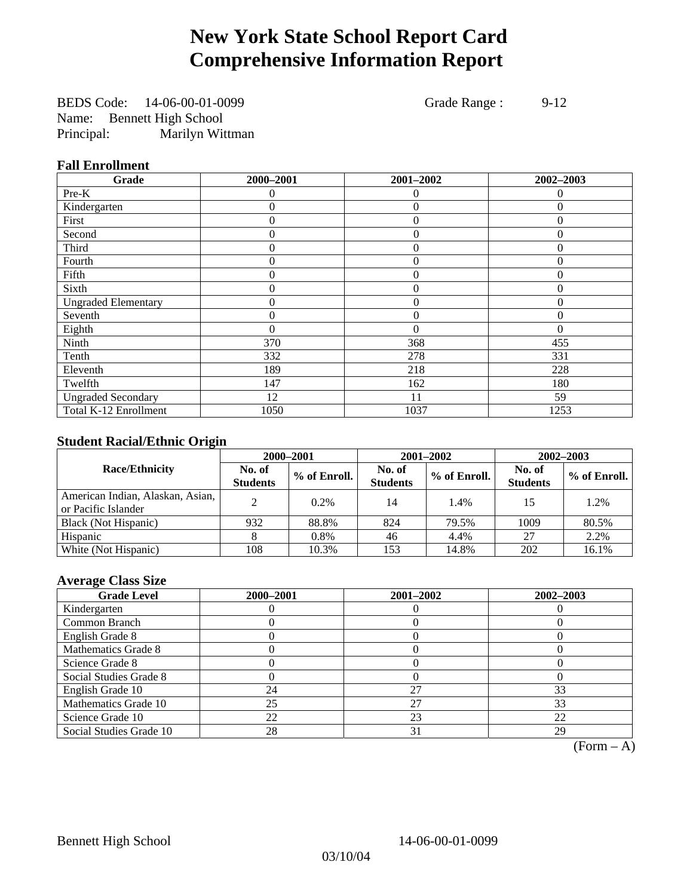## **New York State School Report Card Comprehensive Information Report**

BEDS Code: 14-06-00-01-0099 Grade Range : 9-12 Name: Bennett High School Principal: Marilyn Wittman

### **Fall Enrollment**

| Grade                      | 2000-2001 | 2001-2002      | 2002-2003    |
|----------------------------|-----------|----------------|--------------|
| Pre-K                      | $\Omega$  | $\theta$       | $\theta$     |
| Kindergarten               | 0         | $\overline{0}$ | $\Omega$     |
| First                      | $\theta$  | $\theta$       | $\Omega$     |
| Second                     | 0         | $\theta$       | $\Omega$     |
| Third                      | 0         | $\theta$       | $\Omega$     |
| Fourth                     | 0         | $\overline{0}$ | $\theta$     |
| Fifth                      | $\theta$  | $\theta$       | $\mathbf{0}$ |
| Sixth                      | 0         | $\Omega$       | $\Omega$     |
| <b>Ungraded Elementary</b> | 0         | $\theta$       | $\Omega$     |
| Seventh                    | 0         | $\overline{0}$ | $\theta$     |
| Eighth                     | $\theta$  | $\theta$       | $\Omega$     |
| Ninth                      | 370       | 368            | 455          |
| Tenth                      | 332       | 278            | 331          |
| Eleventh                   | 189       | 218            | 228          |
| Twelfth                    | 147       | 162            | 180          |
| <b>Ungraded Secondary</b>  | 12        | 11             | 59           |
| Total K-12 Enrollment      | 1050      | 1037           | 1253         |

## **Student Racial/Ethnic Origin**

|                                                         |                           | 2001-2002<br>$2002 - 2003$<br>2000-2001 |                           |              |                           |                |
|---------------------------------------------------------|---------------------------|-----------------------------------------|---------------------------|--------------|---------------------------|----------------|
| <b>Race/Ethnicity</b>                                   | No. of<br><b>Students</b> | % of Enroll.                            | No. of<br><b>Students</b> | % of Enroll. | No. of<br><b>Students</b> | $%$ of Enroll. |
| American Indian, Alaskan, Asian,<br>or Pacific Islander | ↑                         | 0.2%                                    | 14                        | 1.4%         | 15                        | 1.2%           |
| Black (Not Hispanic)                                    | 932                       | 88.8%                                   | 824                       | 79.5%        | 1009                      | 80.5%          |
| Hispanic                                                |                           | 0.8%                                    | 46                        | 4.4%         | 27                        | 2.2%           |
| White (Not Hispanic)                                    | 108                       | 10.3%                                   | 153                       | 14.8%        | 202                       | 16.1%          |

## **Average Class Size**

| <b>Grade Level</b>      | 2000-2001 | 2001-2002 | 2002-2003 |
|-------------------------|-----------|-----------|-----------|
| Kindergarten            |           |           |           |
| Common Branch           |           |           |           |
| English Grade 8         |           |           |           |
| Mathematics Grade 8     |           |           |           |
| Science Grade 8         |           |           |           |
| Social Studies Grade 8  |           |           |           |
| English Grade 10        | 24        | 27        | 33        |
| Mathematics Grade 10    | 25        | 27        | 33        |
| Science Grade 10        | 22        | 23        | 22        |
| Social Studies Grade 10 | 28        | 31        | 29        |

 $(Form - A)$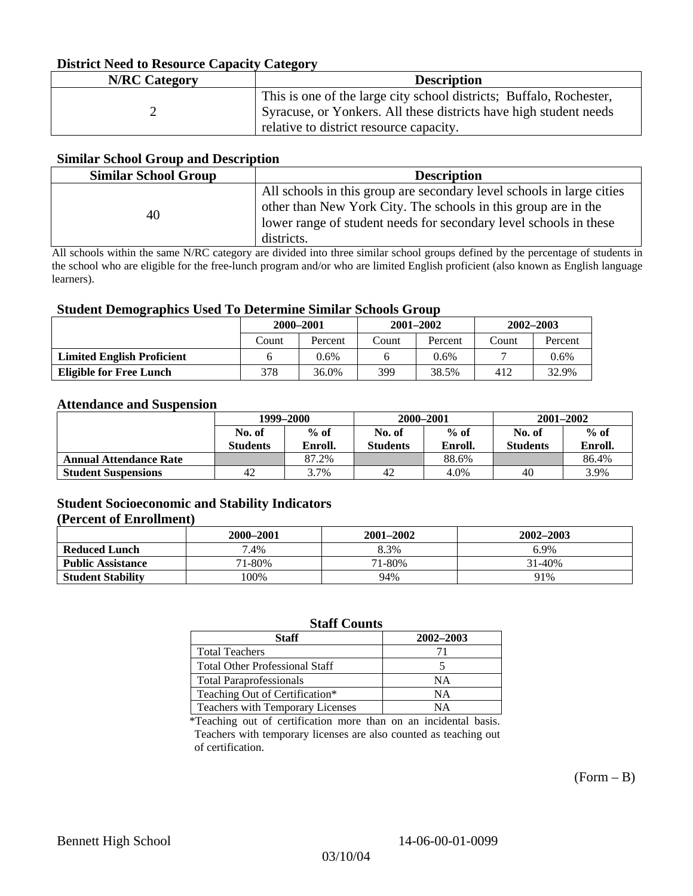## **District Need to Resource Capacity Category**

| <b>N/RC</b> Category | <b>Description</b>                                                  |
|----------------------|---------------------------------------------------------------------|
|                      | This is one of the large city school districts; Buffalo, Rochester, |
|                      | Syracuse, or Yonkers. All these districts have high student needs   |
|                      | relative to district resource capacity.                             |

### **Similar School Group and Description**

| <b>Similar School Group</b> | <b>Description</b>                                                                                                                                                                                                         |
|-----------------------------|----------------------------------------------------------------------------------------------------------------------------------------------------------------------------------------------------------------------------|
| 40                          | All schools in this group are secondary level schools in large cities<br>other than New York City. The schools in this group are in the<br>lower range of student needs for secondary level schools in these<br>districts. |

All schools within the same N/RC category are divided into three similar school groups defined by the percentage of students in the school who are eligible for the free-lunch program and/or who are limited English proficient (also known as English language learners).

#### **Student Demographics Used To Determine Similar Schools Group**

| 0                                 | 2000-2001 |         |       | $2001 - 2002$ | 2002-2003 |         |
|-----------------------------------|-----------|---------|-------|---------------|-----------|---------|
|                                   | Count     | Percent | Count | Percent       | Count     | Percent |
| <b>Limited English Proficient</b> |           | 0.6%    |       | 0.6%          |           | $0.6\%$ |
| Eligible for Free Lunch           | 378       | 36.0%   | 399   | 38.5%         | 412       | 32.9%   |

#### **Attendance and Suspension**

|                               | 1999–2000       |         | 2000-2001       |         | $2001 - 2002$   |         |
|-------------------------------|-----------------|---------|-----------------|---------|-----------------|---------|
|                               | No. of          | $%$ of  | No. of          | $%$ of  | No. of          | $%$ of  |
|                               | <b>Students</b> | Enroll. | <b>Students</b> | Enroll. | <b>Students</b> | Enroll. |
| <b>Annual Attendance Rate</b> |                 | 87.2%   |                 | 88.6%   |                 | 86.4%   |
| <b>Student Suspensions</b>    | 42              | 3.7%    | 42              | 4.0%    | 40              | 3.9%    |

## **Student Socioeconomic and Stability Indicators**

### **(Percent of Enrollment)**

|                          | 2000–2001 | 2001-2002 | 2002-2003 |
|--------------------------|-----------|-----------|-----------|
| <b>Reduced Lunch</b>     | 7.4%      | 8.3%      | 6.9%      |
| <b>Public Assistance</b> | 71-80%    | 71-80%    | 31-40%    |
| <b>Student Stability</b> | $00\%$    | 94%       | 91%       |

## **Staff Counts**

| <b>Staff</b>                          | 2002-2003 |
|---------------------------------------|-----------|
| <b>Total Teachers</b>                 | 71        |
| <b>Total Other Professional Staff</b> |           |
| <b>Total Paraprofessionals</b>        | ΝA        |
| Teaching Out of Certification*        | NΑ        |
| Teachers with Temporary Licenses      | NΑ        |

\*Teaching out of certification more than on an incidental basis. Teachers with temporary licenses are also counted as teaching out of certification.

 $(Form - B)$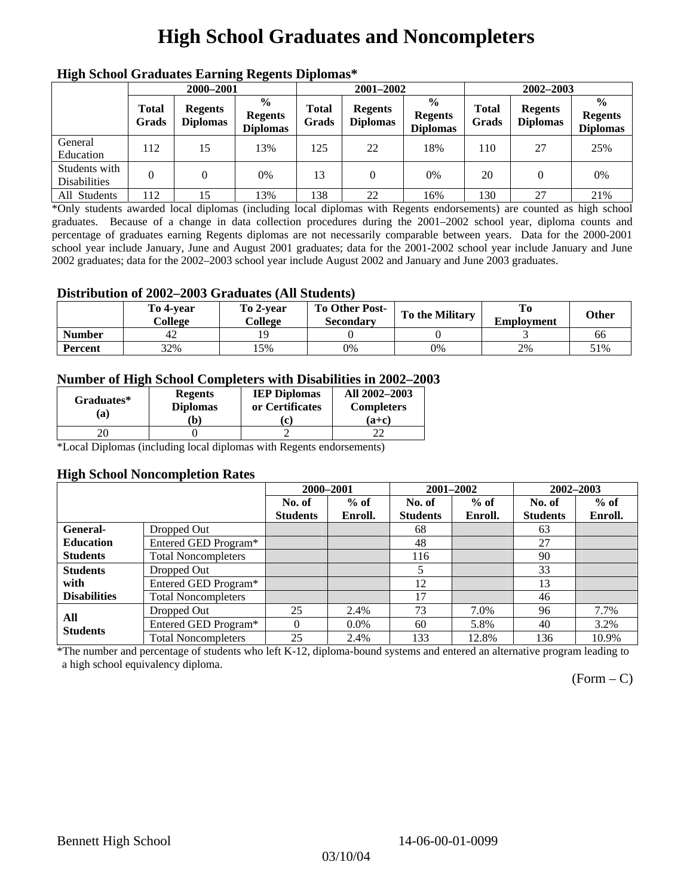# **High School Graduates and Noncompleters**

| ніді эспол этайнакі патінід кеденія вірюшая |                       |                                   |                                                    |                       |                                   |                                                    |                       |                                   |                                                    |  |
|---------------------------------------------|-----------------------|-----------------------------------|----------------------------------------------------|-----------------------|-----------------------------------|----------------------------------------------------|-----------------------|-----------------------------------|----------------------------------------------------|--|
|                                             | 2000-2001             |                                   |                                                    |                       | 2001-2002                         |                                                    |                       | 2002-2003                         |                                                    |  |
|                                             | <b>Total</b><br>Grads | <b>Regents</b><br><b>Diplomas</b> | $\frac{6}{9}$<br><b>Regents</b><br><b>Diplomas</b> | <b>Total</b><br>Grads | <b>Regents</b><br><b>Diplomas</b> | $\frac{6}{6}$<br><b>Regents</b><br><b>Diplomas</b> | <b>Total</b><br>Grads | <b>Regents</b><br><b>Diplomas</b> | $\frac{0}{0}$<br><b>Regents</b><br><b>Diplomas</b> |  |
| General<br>Education                        | 112                   | 15                                | 13%                                                | 125                   | 22                                | 18%                                                | 110                   | 27                                | 25%                                                |  |
| Students with<br><b>Disabilities</b>        |                       |                                   | 0%                                                 | 13                    | $\Omega$                          | 0%                                                 | 20                    |                                   | 0%                                                 |  |
| All Students                                | 112                   | 15                                | 13%                                                | 138                   | 22                                | 16%                                                | 130                   | 27                                | 21%                                                |  |

## **High School Graduates Earning Regents Diplomas\***

\*Only students awarded local diplomas (including local diplomas with Regents endorsements) are counted as high school graduates. Because of a change in data collection procedures during the 2001–2002 school year, diploma counts and percentage of graduates earning Regents diplomas are not necessarily comparable between years. Data for the 2000-2001 school year include January, June and August 2001 graduates; data for the 2001-2002 school year include January and June 2002 graduates; data for the 2002–2003 school year include August 2002 and January and June 2003 graduates.

### **Distribution of 2002–2003 Graduates (All Students)**

|               | To 4-vear<br>College | To 2-vear<br>College | <b>To Other Post-</b><br><b>Secondary</b> | <b>To the Military</b> | <b>Employment</b> | Other |
|---------------|----------------------|----------------------|-------------------------------------------|------------------------|-------------------|-------|
| <b>Number</b> | 42                   |                      |                                           |                        |                   | 66    |
| Percent       | 32%                  | 15%                  | 0%                                        | 0%                     | 2%                | 51%   |

### **Number of High School Completers with Disabilities in 2002–2003**

| Graduates*<br>(a) | <b>Regents</b><br><b>Diplomas</b> | <b>IEP Diplomas</b><br>or Certificates | All 2002-2003<br><b>Completers</b> |  |
|-------------------|-----------------------------------|----------------------------------------|------------------------------------|--|
|                   | b)                                | c.                                     | $(a+c)$                            |  |
|                   |                                   |                                        |                                    |  |

\*Local Diplomas (including local diplomas with Regents endorsements)

#### **High School Noncompletion Rates**

|                     |                            | 2000-2001       |         | 2001-2002       |         | 2002-2003       |         |
|---------------------|----------------------------|-----------------|---------|-----------------|---------|-----------------|---------|
|                     |                            | No. of          | $%$ of  | No. of          | $%$ of  | No. of          | $%$ of  |
|                     |                            | <b>Students</b> | Enroll. | <b>Students</b> | Enroll. | <b>Students</b> | Enroll. |
| <b>General-</b>     | Dropped Out                |                 |         | 68              |         | 63              |         |
| <b>Education</b>    | Entered GED Program*       |                 |         | 48              |         | 27              |         |
| <b>Students</b>     | <b>Total Noncompleters</b> |                 |         | 116             |         | 90              |         |
| <b>Students</b>     | Dropped Out                |                 |         | 5               |         | 33              |         |
| with                | Entered GED Program*       |                 |         | 12              |         | 13              |         |
| <b>Disabilities</b> | <b>Total Noncompleters</b> |                 |         | 17              |         | 46              |         |
| All                 | Dropped Out                | 25              | 2.4%    | 73              | 7.0%    | 96              | 7.7%    |
| <b>Students</b>     | Entered GED Program*       | $\Omega$        | $0.0\%$ | 60              | 5.8%    | 40              | 3.2%    |
|                     | <b>Total Noncompleters</b> | 25              | 2.4%    | 133             | 12.8%   | 136             | 10.9%   |

\*The number and percentage of students who left K-12, diploma-bound systems and entered an alternative program leading to a high school equivalency diploma.

 $(Form - C)$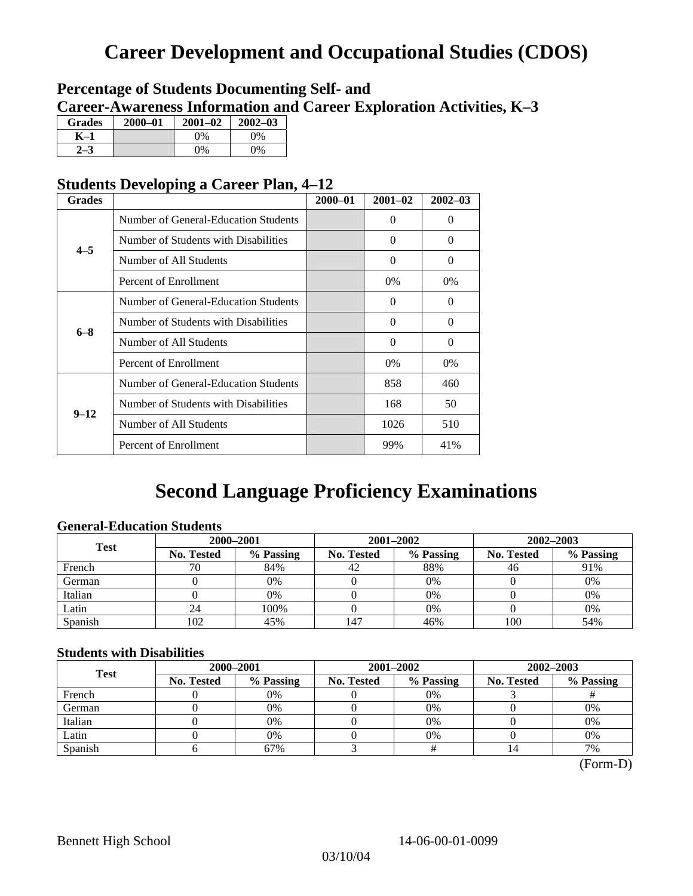## **Career Development and Occupational Studies (CDOS)**

## **Percentage of Students Documenting Self- and Career-Awareness Information and Career Exploration Activities, K–3**

| <b>Grades</b> | $2000 - 01$ | $2001 - 02$ | $2002 - 03$ |
|---------------|-------------|-------------|-------------|
| K–1           |             | 9%          | $0\%$       |
|               |             | $0\%$       | $0\%$       |

## **Students Developing a Career Plan, 4–12**

| <b>Grades</b> |                                      | $2000 - 01$ | $2001 - 02$ | $2002 - 03$ |
|---------------|--------------------------------------|-------------|-------------|-------------|
|               | Number of General-Education Students |             | 0           | $\Omega$    |
| $4 - 5$       | Number of Students with Disabilities |             | $\Omega$    | $\Omega$    |
|               | Number of All Students               |             | $\Omega$    | $\Omega$    |
|               | Percent of Enrollment                |             | 0%          | $0\%$       |
|               | Number of General-Education Students |             | $\Omega$    | $\Omega$    |
|               | Number of Students with Disabilities |             | $\Omega$    | $\Omega$    |
| $6 - 8$       | Number of All Students               |             | $\theta$    | $\Omega$    |
|               | Percent of Enrollment                |             | 0%          | 0%          |
|               | Number of General-Education Students |             | 858         | 460         |
| $9 - 12$      | Number of Students with Disabilities |             | 168         | 50          |
|               | Number of All Students               |             | 1026        | 510         |
|               | Percent of Enrollment                |             | 99%         | 41%         |

## **Second Language Proficiency Examinations**

## **General-Education Students**

| <b>Test</b> | 2000-2001         |           |            | 2001-2002 | 2002-2003  |           |  |
|-------------|-------------------|-----------|------------|-----------|------------|-----------|--|
|             | <b>No. Tested</b> | % Passing | No. Tested | % Passing | No. Tested | % Passing |  |
| French      | 70                | 84%       | 42         | 88%       | 46         | 91%       |  |
| German      |                   | 0%        |            | 0%        |            | 0%        |  |
| Italian     |                   | $0\%$     |            | 0%        |            | 0%        |  |
| Latin       | 24                | 100%      |            | $0\%$     |            | 0%        |  |
| Spanish     | 102               | 45%       | 147        | 46%       | 100        | 54%       |  |

### **Students with Disabilities**

| <b>Test</b> | 2000-2001         |           |            | 2001-2002 | 2002-2003  |           |  |
|-------------|-------------------|-----------|------------|-----------|------------|-----------|--|
|             | <b>No. Tested</b> | % Passing | No. Tested | % Passing | No. Tested | % Passing |  |
| French      |                   | 0%        |            | 0%        |            |           |  |
| German      |                   | 0%        |            | 0%        |            | 0%        |  |
| Italian     |                   | 0%        |            | 0%        |            | 0%        |  |
| Latin       |                   | 0%        |            | $0\%$     |            | 0%        |  |
| Spanish     |                   | 67%       |            |           | 14         | 7%        |  |

 <sup>(</sup>Form-D)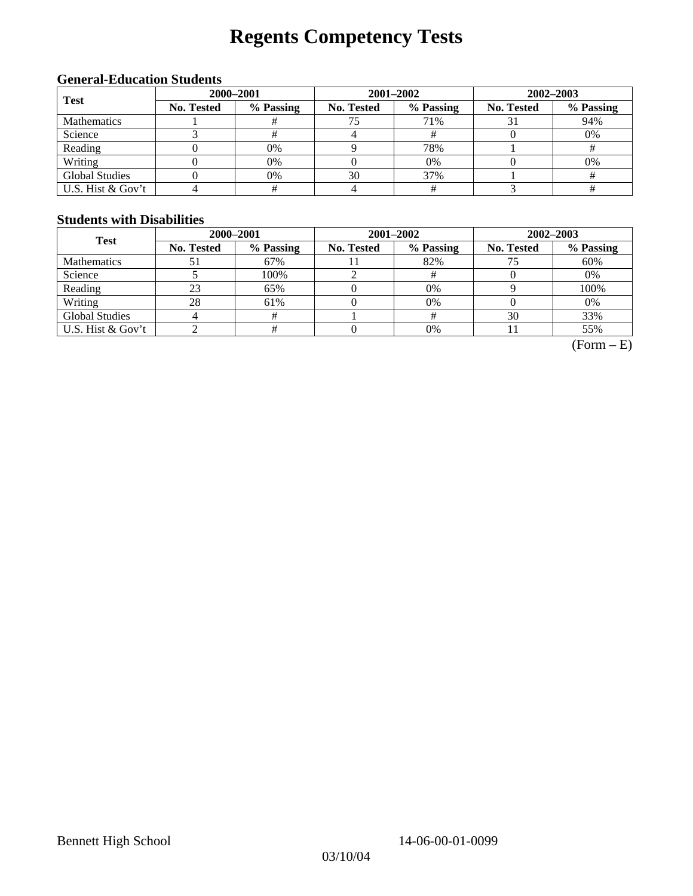# **Regents Competency Tests**

## **General-Education Students**

| <b>Test</b>           | 2000-2001  |           |            | 2001-2002 | $2002 - 2003$ |           |  |
|-----------------------|------------|-----------|------------|-----------|---------------|-----------|--|
|                       | No. Tested | % Passing | No. Tested | % Passing | No. Tested    | % Passing |  |
| <b>Mathematics</b>    |            |           |            | 71%       |               | 94%       |  |
| Science               |            |           |            |           |               | 0%        |  |
| Reading               |            | 0%        |            | 78%       |               |           |  |
| Writing               |            | 0%        |            | 0%        |               | 0%        |  |
| <b>Global Studies</b> |            | 0%        | 30         | 37%       |               |           |  |
| U.S. Hist & Gov't     |            |           |            |           |               |           |  |

## **Students with Disabilities**

| <b>Test</b>           | 2000-2001         |           |            | 2001-2002 | 2002-2003         |           |  |
|-----------------------|-------------------|-----------|------------|-----------|-------------------|-----------|--|
|                       | <b>No. Tested</b> | % Passing | No. Tested | % Passing | <b>No. Tested</b> | % Passing |  |
| <b>Mathematics</b>    |                   | 67%       |            | 82%       | 75                | 60%       |  |
| Science               |                   | 100%      |            |           |                   | 0%        |  |
| Reading               | 23                | 65%       |            | 0%        |                   | 100%      |  |
| Writing               | 28                | 61%       |            | 0%        |                   | 0%        |  |
| <b>Global Studies</b> |                   |           |            |           | 30                | 33%       |  |
| U.S. Hist & Gov't     |                   |           |            | 0%        |                   | 55%       |  |

 $(Form - E)$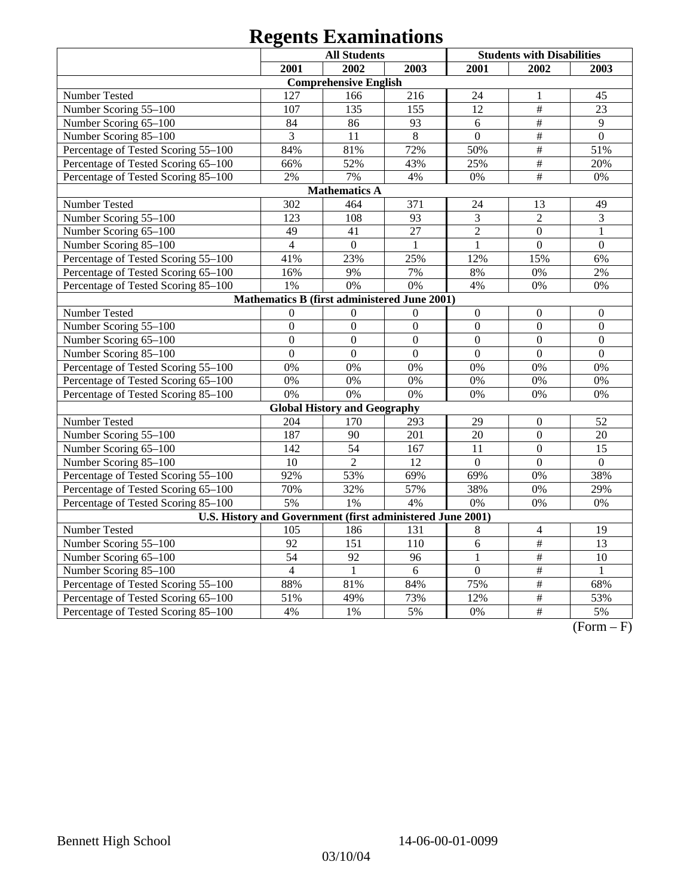# **Regents Examinations**

|                                                            | <b>All Students</b> |                                     |                | <b>Students with Disabilities</b> |                           |                  |  |
|------------------------------------------------------------|---------------------|-------------------------------------|----------------|-----------------------------------|---------------------------|------------------|--|
|                                                            | 2001                | 2002                                | 2003           | 2001                              | 2002                      | 2003             |  |
|                                                            |                     | <b>Comprehensive English</b>        |                |                                   |                           |                  |  |
| Number Tested                                              | 127                 | 166                                 | 216            | 24                                | 1                         | 45               |  |
| Number Scoring 55-100                                      | 107                 | 135                                 | 155            | 12                                | $\#$                      | 23               |  |
| Number Scoring 65-100                                      | 84                  | 86                                  | 93             | 6                                 | $\overline{\#}$           | 9                |  |
| Number Scoring 85-100                                      | $\overline{3}$      | 11                                  | $\overline{8}$ | $\overline{0}$                    | $\overline{\#}$           | $\overline{0}$   |  |
| Percentage of Tested Scoring 55-100                        | 84%                 | 81%                                 | 72%            | 50%                               | $\overline{\overline{H}}$ | 51%              |  |
| Percentage of Tested Scoring 65-100                        | 66%                 | 52%                                 | 43%            | 25%                               | $\#$                      | 20%              |  |
| Percentage of Tested Scoring 85-100                        | 2%                  | 7%                                  | 4%             | 0%                                | $\#$                      | 0%               |  |
|                                                            |                     | <b>Mathematics A</b>                |                |                                   |                           |                  |  |
| Number Tested                                              | 302                 | 464                                 | 371            | 24                                | 13                        | 49               |  |
| Number Scoring 55-100                                      | 123                 | 108                                 | 93             | $\mathfrak{Z}$                    | $\overline{2}$            | $\mathfrak{Z}$   |  |
| Number Scoring 65-100                                      | 49                  | 41                                  | 27             | $\overline{2}$                    | $\boldsymbol{0}$          | 1                |  |
| Number Scoring 85-100                                      | $\overline{4}$      | $\boldsymbol{0}$                    | $\mathbf{1}$   | $\overline{1}$                    | $\overline{0}$            | $\mathbf{0}$     |  |
| Percentage of Tested Scoring 55-100                        | 41%                 | 23%                                 | 25%            | 12%                               | 15%                       | 6%               |  |
| Percentage of Tested Scoring 65-100                        | 16%                 | 9%                                  | 7%             | 8%                                | 0%                        | 2%               |  |
| Percentage of Tested Scoring 85-100                        | 1%                  | 0%                                  | 0%             | 4%                                | 0%                        | 0%               |  |
| Mathematics B (first administered June 2001)               |                     |                                     |                |                                   |                           |                  |  |
| Number Tested                                              | $\Omega$            | $\Omega$                            | $\Omega$       | $\boldsymbol{0}$                  | $\boldsymbol{0}$          | $\boldsymbol{0}$ |  |
| Number Scoring 55-100                                      | $\overline{0}$      | $\overline{0}$                      | $\overline{0}$ | $\overline{0}$                    | $\overline{0}$            | $\mathbf{0}$     |  |
| Number Scoring 65-100                                      | $\overline{0}$      | $\overline{0}$                      | $\overline{0}$ | $\mathbf{0}$                      | $\overline{0}$            | $\mathbf{0}$     |  |
| Number Scoring 85-100                                      | $\overline{0}$      | $\mathbf{0}$                        | $\overline{0}$ | $\mathbf{0}$                      | $\overline{0}$            | $\overline{0}$   |  |
| Percentage of Tested Scoring 55-100                        | 0%                  | 0%                                  | 0%             | 0%                                | 0%                        | 0%               |  |
| Percentage of Tested Scoring 65-100                        | 0%                  | 0%                                  | 0%             | 0%                                | 0%                        | 0%               |  |
| Percentage of Tested Scoring 85-100                        | 0%                  | 0%                                  | 0%             | 0%                                | 0%                        | 0%               |  |
|                                                            |                     | <b>Global History and Geography</b> |                |                                   |                           |                  |  |
| Number Tested                                              | 204                 | 170                                 | 293            | 29                                | $\boldsymbol{0}$          | 52               |  |
| Number Scoring 55-100                                      | 187                 | 90                                  | 201            | 20                                | $\mathbf{0}$              | 20               |  |
| Number Scoring 65-100                                      | 142                 | $\overline{54}$                     | 167            | 11                                | $\overline{0}$            | 15               |  |
| Number Scoring 85-100                                      | 10                  | $\overline{2}$                      | 12             | $\Omega$                          | $\overline{0}$            | $\Omega$         |  |
| Percentage of Tested Scoring 55-100                        | 92%                 | 53%                                 | 69%            | 69%                               | 0%                        | 38%              |  |
| Percentage of Tested Scoring 65-100                        | 70%                 | 32%                                 | 57%            | 38%                               | 0%                        | 29%              |  |
| Percentage of Tested Scoring 85-100                        | 5%                  | 1%                                  | 4%             | 0%                                | 0%                        | $0\%$            |  |
| U.S. History and Government (first administered June 2001) |                     |                                     |                |                                   |                           |                  |  |
| Number Tested                                              | 105                 | 186                                 | 131            | 8                                 | $\overline{4}$            | 19               |  |
| Number Scoring 55-100                                      | 92                  | 151                                 | 110            | $\overline{6}$                    | #                         | $\overline{13}$  |  |
| Number Scoring 65-100                                      | 54                  | 92                                  | 96             | $\mathbf{1}$                      | $\overline{\#}$           | 10               |  |
| Number Scoring 85-100                                      | $\overline{4}$      | $\mathbf{1}$                        | 6              | $\overline{0}$                    | #                         | $\mathbf{1}$     |  |
| Percentage of Tested Scoring 55-100                        | 88%                 | 81%                                 | 84%            | 75%                               | #                         | 68%              |  |
| Percentage of Tested Scoring 65-100                        | 51%                 | 49%                                 | 73%            | 12%                               | $\overline{\#}$           | 53%              |  |
| Percentage of Tested Scoring 85-100                        | 4%                  | 1%                                  | 5%             | 0%                                | $\overline{\ddot{}}$      | 5%               |  |

 $\overline{(Form - F)}$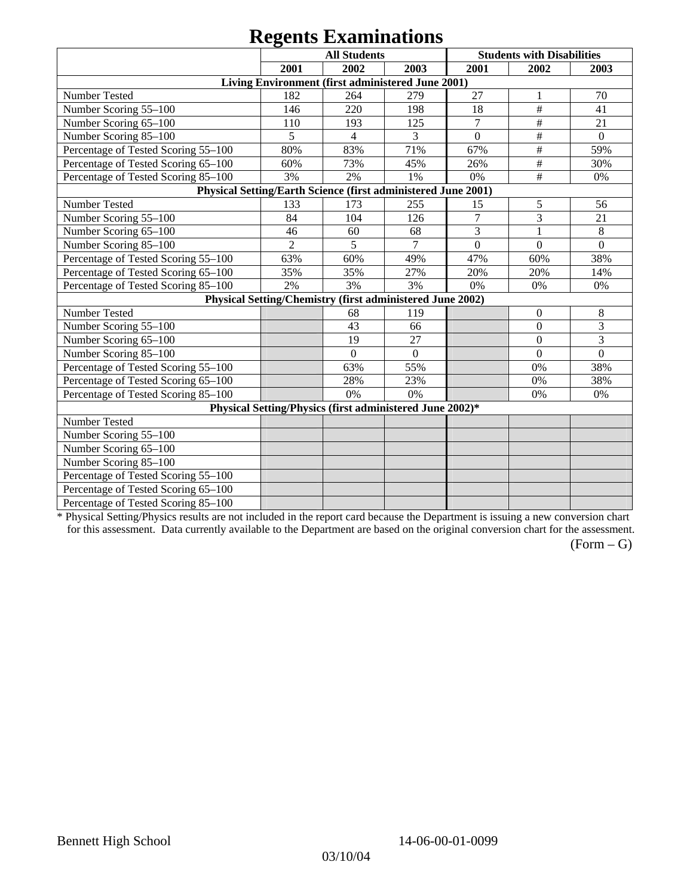# **Regents Examinations**

|                                                               |                | ASSONS <i>Endministers</i>                                |              |                |                                   |                |
|---------------------------------------------------------------|----------------|-----------------------------------------------------------|--------------|----------------|-----------------------------------|----------------|
|                                                               |                | <b>All Students</b>                                       |              |                | <b>Students with Disabilities</b> |                |
|                                                               | 2001           | 2002                                                      | 2003         | 2001           | 2002                              | 2003           |
|                                                               |                | Living Environment (first administered June 2001)         |              |                |                                   |                |
| Number Tested                                                 | 182            | 264                                                       | 279          | 27             | 1                                 | 70             |
| Number Scoring 55-100                                         | 146            | 220                                                       | 198          | 18             | $\#$                              | 41             |
| Number Scoring 65-100                                         | 110            | 193                                                       | 125          | $\overline{7}$ | $\#$                              | 21             |
| Number Scoring 85-100                                         | 5              | $\overline{4}$                                            | 3            | $\theta$       | $\overline{\#}$                   | $\mathbf{0}$   |
| Percentage of Tested Scoring 55-100                           | 80%            | 83%                                                       | 71%          | 67%            | $\#$                              | 59%            |
| Percentage of Tested Scoring 65-100                           | 60%            | 73%                                                       | 45%          | 26%            | $\#$                              | 30%            |
| Percentage of Tested Scoring 85-100                           | 3%             | 2%                                                        | 1%           | 0%             | $\#$                              | 0%             |
| Physical Setting/Earth Science (first administered June 2001) |                |                                                           |              |                |                                   |                |
| Number Tested                                                 | 133            | 173                                                       | 255          | 15             | 5                                 | 56             |
| Number Scoring 55-100                                         | 84             | 104                                                       | 126          | $\overline{7}$ | 3                                 | 21             |
| Number Scoring 65-100                                         | 46             | 60                                                        | 68           | 3              | $\mathbf{1}$                      | 8              |
| Number Scoring 85-100                                         | $\overline{2}$ | 5                                                         | $\tau$       | $\overline{0}$ | $\theta$                          | $\Omega$       |
| Percentage of Tested Scoring 55-100                           | 63%            | 60%                                                       | 49%          | 47%            | 60%                               | 38%            |
| Percentage of Tested Scoring 65-100                           | 35%            | 35%                                                       | 27%          | 20%            | 20%                               | 14%            |
| Percentage of Tested Scoring 85-100                           | 2%             | 3%                                                        | 3%           | 0%             | 0%                                | 0%             |
|                                                               |                | Physical Setting/Chemistry (first administered June 2002) |              |                |                                   |                |
| Number Tested                                                 |                | 68                                                        | 119          |                | $\mathbf{0}$                      | 8              |
| Number Scoring 55-100                                         |                | 43                                                        | 66           |                | $\boldsymbol{0}$                  | 3              |
| Number Scoring 65-100                                         |                | 19                                                        | 27           |                | $\mathbf{0}$                      | 3              |
| Number Scoring 85-100                                         |                | $\overline{0}$                                            | $\mathbf{0}$ |                | $\theta$                          | $\overline{0}$ |
| Percentage of Tested Scoring 55-100                           |                | 63%                                                       | 55%          |                | 0%                                | 38%            |
| Percentage of Tested Scoring 65-100                           |                | 28%                                                       | 23%          |                | 0%                                | 38%            |
| Percentage of Tested Scoring 85-100                           |                | 0%                                                        | 0%           |                | 0%                                | 0%             |
|                                                               |                | Physical Setting/Physics (first administered June 2002)*  |              |                |                                   |                |
| Number Tested                                                 |                |                                                           |              |                |                                   |                |
| Number Scoring 55-100                                         |                |                                                           |              |                |                                   |                |
| Number Scoring 65-100                                         |                |                                                           |              |                |                                   |                |
| Number Scoring 85-100                                         |                |                                                           |              |                |                                   |                |
| Percentage of Tested Scoring 55-100                           |                |                                                           |              |                |                                   |                |
| Percentage of Tested Scoring 65-100                           |                |                                                           |              |                |                                   |                |
| Percentage of Tested Scoring 85-100                           |                |                                                           |              |                |                                   |                |

\* Physical Setting/Physics results are not included in the report card because the Department is issuing a new conversion chart for this assessment. Data currently available to the Department are based on the original conversion chart for the assessment.

 $(Form - G)$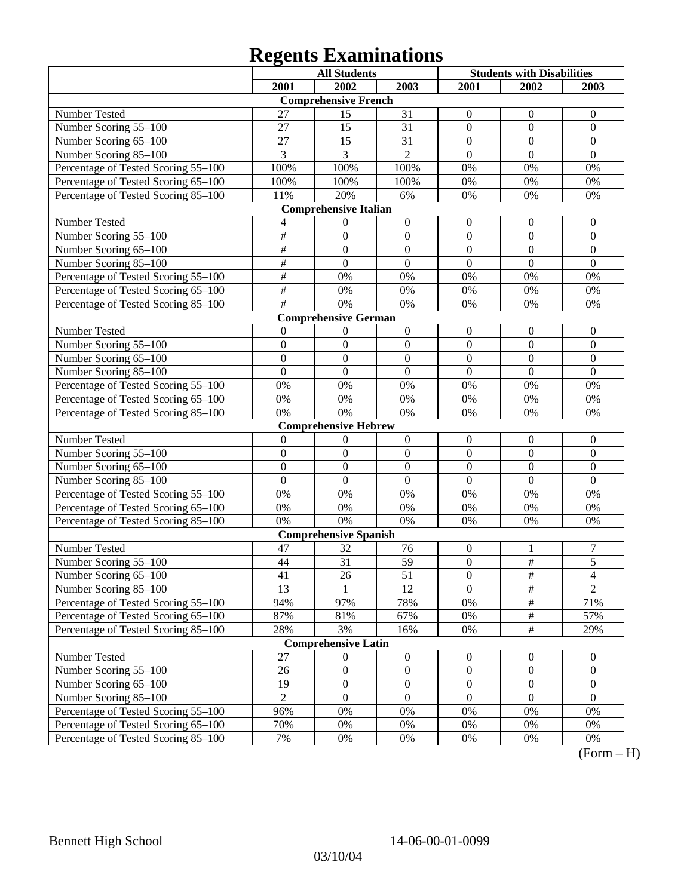# **Regents Examinations**

|                                     |                 | <b>All Students</b>          |                  |                  | <b>Students with Disabilities</b> |                  |
|-------------------------------------|-----------------|------------------------------|------------------|------------------|-----------------------------------|------------------|
|                                     | 2001            | 2002                         | 2003             | 2001             | 2002                              | 2003             |
|                                     |                 | <b>Comprehensive French</b>  |                  |                  |                                   |                  |
| Number Tested                       | 27              | 15                           | 31               | $\boldsymbol{0}$ | $\boldsymbol{0}$                  | $\boldsymbol{0}$ |
| Number Scoring 55-100               | 27              | 15                           | 31               | $\mathbf{0}$     | $\mathbf{0}$                      | $\mathbf{0}$     |
| Number Scoring 65-100               | 27              | 15                           | 31               | $\mathbf{0}$     | $\mathbf{0}$                      | $\mathbf{0}$     |
| Number Scoring 85-100               | 3               | 3                            | $\overline{2}$   | $\boldsymbol{0}$ | $\mathbf{0}$                      | $\mathbf{0}$     |
| Percentage of Tested Scoring 55-100 | 100%            | 100%                         | 100%             | 0%               | $0\%$                             | 0%               |
| Percentage of Tested Scoring 65-100 | 100%            | 100%                         | 100%             | 0%               | 0%                                | 0%               |
| Percentage of Tested Scoring 85-100 | 11%             | 20%                          | 6%               | 0%               | 0%                                | 0%               |
|                                     |                 | <b>Comprehensive Italian</b> |                  |                  |                                   |                  |
| Number Tested                       | 4               | $\boldsymbol{0}$             | $\boldsymbol{0}$ | $\boldsymbol{0}$ | $\boldsymbol{0}$                  | $\boldsymbol{0}$ |
| Number Scoring 55-100               | $\overline{\#}$ | $\mathbf{0}$                 | $\boldsymbol{0}$ | $\boldsymbol{0}$ | $\mathbf{0}$                      | $\mathbf{0}$     |
| Number Scoring 65-100               | $\overline{\#}$ | $\overline{0}$               | $\mathbf{0}$     | $\overline{0}$   | $\mathbf{0}$                      | $\mathbf{0}$     |
| Number Scoring 85-100               | $\overline{\#}$ | $\overline{0}$               | $\mathbf{0}$     | $\overline{0}$   | $\mathbf{0}$                      | $\mathbf{0}$     |
| Percentage of Tested Scoring 55-100 | $\#$            | 0%                           | 0%               | 0%               | 0%                                | 0%               |
| Percentage of Tested Scoring 65-100 | $\#$            | 0%                           | 0%               | 0%               | 0%                                | 0%               |
| Percentage of Tested Scoring 85-100 | #               | 0%                           | 0%               | 0%               | 0%                                | 0%               |
|                                     |                 | <b>Comprehensive German</b>  |                  |                  |                                   |                  |
| Number Tested                       | $\theta$        | 0                            | $\boldsymbol{0}$ | $\boldsymbol{0}$ | $\boldsymbol{0}$                  | $\boldsymbol{0}$ |
| Number Scoring 55-100               | $\mathbf{0}$    | $\mathbf{0}$                 | $\mathbf{0}$     | $\boldsymbol{0}$ | $\mathbf{0}$                      | $\mathbf{0}$     |
| Number Scoring 65-100               | $\mathbf{0}$    | $\mathbf{0}$                 | $\mathbf{0}$     | $\overline{0}$   | $\mathbf{0}$                      | $\mathbf{0}$     |
| Number Scoring 85-100               | $\mathbf{0}$    | $\overline{0}$               | $\mathbf{0}$     | $\boldsymbol{0}$ | $\mathbf{0}$                      | $\mathbf{0}$     |
| Percentage of Tested Scoring 55-100 | 0%              | 0%                           | 0%               | 0%               | 0%                                | 0%               |
| Percentage of Tested Scoring 65-100 | 0%              | 0%                           | 0%               | 0%               | 0%                                | 0%               |
| Percentage of Tested Scoring 85-100 | 0%              | 0%                           | 0%               | 0%               | 0%                                | 0%               |
|                                     |                 | <b>Comprehensive Hebrew</b>  |                  |                  |                                   |                  |
| Number Tested                       | $\theta$        | $\boldsymbol{0}$             | $\boldsymbol{0}$ | $\boldsymbol{0}$ | $\boldsymbol{0}$                  | $\boldsymbol{0}$ |
| Number Scoring 55-100               | $\mathbf{0}$    | $\mathbf{0}$                 | $\mathbf{0}$     | $\boldsymbol{0}$ | $\mathbf{0}$                      | $\mathbf{0}$     |
| Number Scoring 65-100               | $\mathbf{0}$    | $\mathbf{0}$                 | $\mathbf{0}$     | $\overline{0}$   | $\mathbf{0}$                      | $\mathbf{0}$     |
| Number Scoring 85-100               | $\mathbf{0}$    | $\boldsymbol{0}$             | $\mathbf{0}$     | $\boldsymbol{0}$ | $\mathbf{0}$                      | $\mathbf{0}$     |
| Percentage of Tested Scoring 55-100 | 0%              | 0%                           | 0%               | 0%               | 0%                                | 0%               |
| Percentage of Tested Scoring 65-100 | 0%              | 0%                           | $0\%$            | 0%               | 0%                                | 0%               |
| Percentage of Tested Scoring 85-100 | 0%              | 0%                           | 0%               | 0%               | 0%                                | 0%               |
|                                     |                 | <b>Comprehensive Spanish</b> |                  |                  |                                   |                  |
| Number Tested                       | 47              | 32                           | 76               | $\boldsymbol{0}$ | 1                                 | $\boldsymbol{7}$ |
| Number Scoring 55-100               | 44              | 31                           | 59               | $\boldsymbol{0}$ | $\overline{\overline{H}}$         | $\overline{5}$   |
| Number Scoring 65-100               | $\overline{41}$ | $\overline{26}$              | 51               | $\boldsymbol{0}$ | $\overline{\#}$                   | $\overline{4}$   |
| Number Scoring 85-100               | 13              | 1                            | 12               | $\mathbf{0}$     | $\overline{\#}$                   | $\overline{2}$   |
| Percentage of Tested Scoring 55-100 | 94%             | 97%                          | 78%              | $0\%$            | $\frac{1}{2}$                     | 71%              |
| Percentage of Tested Scoring 65-100 | 87%             | 81%                          | 67%              | $0\%$            | $\frac{1}{2}$                     | 57%              |
| Percentage of Tested Scoring 85-100 | 28%             | 3%                           | 16%              | $0\%$            | $\frac{1}{2}$                     | 29%              |
|                                     |                 | <b>Comprehensive Latin</b>   |                  |                  |                                   |                  |
| Number Tested                       | 27              | $\boldsymbol{0}$             | $\boldsymbol{0}$ | $\boldsymbol{0}$ | $\mathbf{0}$                      | $\mathbf{0}$     |
| Number Scoring 55-100               | 26              | $\boldsymbol{0}$             | $\boldsymbol{0}$ | $\boldsymbol{0}$ | $\boldsymbol{0}$                  | $\boldsymbol{0}$ |
| Number Scoring 65-100               | 19              | $\boldsymbol{0}$             | $\boldsymbol{0}$ | $\boldsymbol{0}$ | $\boldsymbol{0}$                  | $\boldsymbol{0}$ |
| Number Scoring 85-100               | $\overline{2}$  | $\boldsymbol{0}$             | $\mathbf{0}$     | $\boldsymbol{0}$ | $\mathbf{0}$                      | $\mathbf{0}$     |
| Percentage of Tested Scoring 55-100 | 96%             | $0\%$                        | $0\%$            | $0\%$            | $0\%$                             | $0\%$            |
| Percentage of Tested Scoring 65-100 | 70%             | $0\%$                        | $0\%$            | $0\%$            | $0\%$                             | $0\%$            |
| Percentage of Tested Scoring 85-100 | 7%              | $0\%$                        | $0\%$            | $0\%$            | 0%                                | 0%               |

 $\overline{(Form - H)}$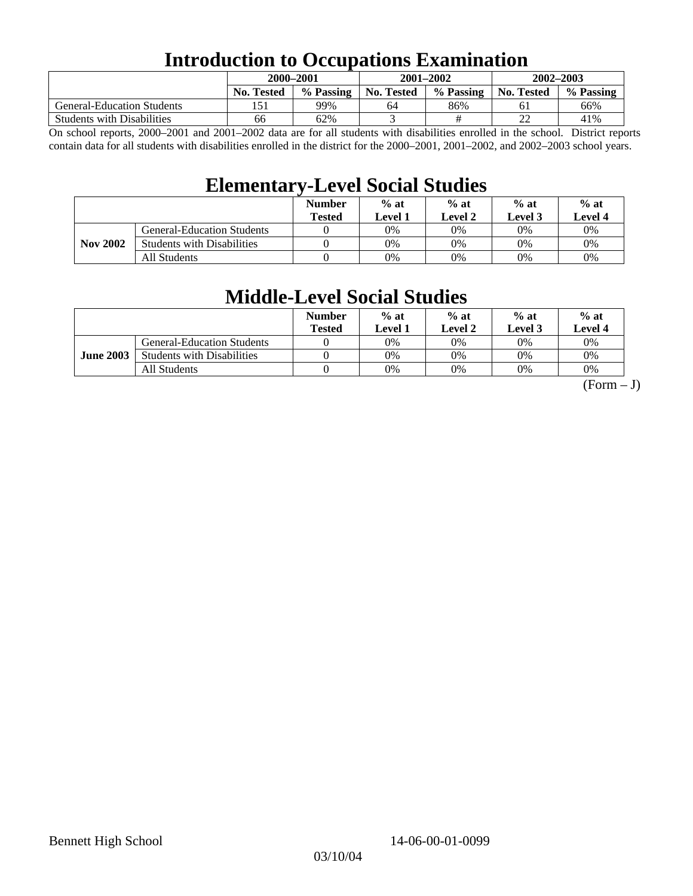## **Introduction to Occupations Examination**

|                                   | 2000-2001         |           |            | $2001 - 2002$ | $2002 - 2003$     |           |  |
|-----------------------------------|-------------------|-----------|------------|---------------|-------------------|-----------|--|
|                                   | <b>No. Tested</b> | % Passing | No. Tested | % Passing     | <b>No. Tested</b> | % Passing |  |
| <b>General-Education Students</b> |                   | 99%       | 64         | 86%           |                   | 66%       |  |
| <b>Students with Disabilities</b> | 66                | 62%       |            |               | ∠∠                | 41%       |  |

On school reports, 2000–2001 and 2001–2002 data are for all students with disabilities enrolled in the school. District reports contain data for all students with disabilities enrolled in the district for the 2000–2001, 2001–2002, and 2002–2003 school years.

## **Elementary-Level Social Studies**

|                 |                                   | <b>Number</b><br><b>Tested</b> | $%$ at<br>Level 1 | $%$ at<br>Level 2 | $%$ at<br><b>Level 3</b> | $%$ at<br><b>Level 4</b> |
|-----------------|-----------------------------------|--------------------------------|-------------------|-------------------|--------------------------|--------------------------|
|                 | General-Education Students        |                                | 0%                | $0\%$             | 0%                       | $0\%$                    |
| <b>Nov 2002</b> | <b>Students with Disabilities</b> |                                | 0%                | $0\%$             | 0%                       | 0%                       |
|                 | All Students                      |                                | 0%                | $0\%$             | 0%                       | $0\%$                    |

## **Middle-Level Social Studies**

|                  |                                   | <b>Number</b><br>Tested | $%$ at<br>evel 1. | $%$ at<br>Level 2 | $%$ at<br>Level 3 | $%$ at<br>Level 4 |
|------------------|-----------------------------------|-------------------------|-------------------|-------------------|-------------------|-------------------|
| <b>June 2003</b> | <b>General-Education Students</b> |                         | 0%                | 0%                | $0\%$             | 0%                |
|                  | <b>Students with Disabilities</b> |                         | 0%                | 0%                | 0%                | 0%                |
|                  | All Students                      |                         | 0%                | 0%                | 0%                | 0%                |

 $(Form - J)$